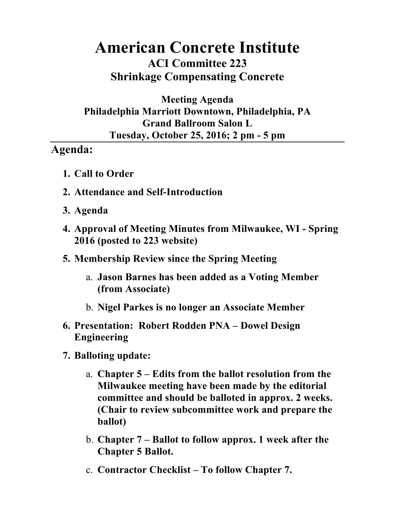## **American Concrete Institute ACI Committee 223 Shrinkage Compensating Concrete**

## **Meeting Agenda Philadelphia Marriott Downtown, Philadelphia, PA Grand Ballroom Salon L Tuesday, October 25, 2016; 2 pm - 5 pm**

## **Agenda:**

- **1. Call to Order**
- **2. Attendance and Self-Introduction**
- **3. Agenda**
- **4. Approval of Meeting Minutes from Milwaukee, WI - Spring 2016 (posted to 223 website)**
- **5. Membership Review since the Spring Meeting**
	- a. **Jason Barnes has been added as a Voting Member (from Associate)**
	- b. **Nigel Parkes is no longer an Associate Member**
- **6. Presentation: Robert Rodden PNA – Dowel Design Engineering**
- **7. Balloting update:**
	- a. **Chapter 5 – Edits from the ballot resolution from the Milwaukee meeting have been made by the editorial committee and should be balloted in approx. 2 weeks. (Chair to review subcommittee work and prepare the ballot)**
	- b. **Chapter 7 – Ballot to follow approx. 1 week after the Chapter 5 Ballot.**
	- c. **Contractor Checklist – To follow Chapter 7.**